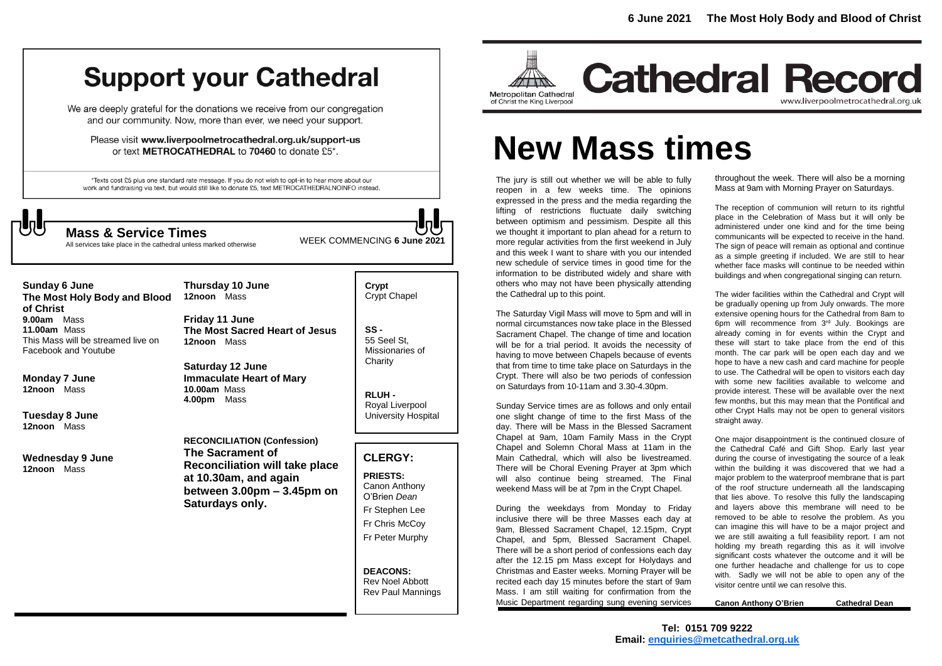# **Support your Cathedral**

We are deeply grateful for the donations we receive from our congregation and our community. Now, more than ever, we need your support.

Please visit www.liverpoolmetrocathedral.org.uk/support-us or text METROCATHEDRAL to 70460 to donate £5\*.

\*Texts cost £5 plus one standard rate message. If you do not wish to opt-in to hear more about our work and fundraising via text, but would still like to donate £5, text METROCATHEDRALNOINFO instead.

**Thursday 10 June**



All services take place in the cathedral unless marked otherwise

WEEK COMMENCING **6 June <sup>2021</sup> Mass & Service Times**

**Sunday 6 June The Most Holy Body and Blood of Christ 9.00am** Mass **11.00am** Mass This Mass will be streamed live on Facebook and Youtube

**Monday 7 June 12noon** Mass

**Tuesday 8 June 12noon** Mass

**Wednesday 9 June 12noon** Mass

**12noon** Mass **Friday 11 June The Most Sacred Heart of Jesus 12noon** Mass

**Saturday 12 June Immaculate Heart of Mary 10.00am** Mass **4.00pm** Mass

**RECONCILIATION (Confession) The Sacrament of Reconciliation will take place at 10.30am, and again between 3.00pm – 3.45pm on Saturdays only.**

**Crypt**  Crypt Chapel

**SS -** 55 Seel St, Missionaries of **Charity** 

**RLUH -** Royal Liverpool University Hospital

# **CLERGY:**

**PRIESTS:** Canon Anthony O'Brien *Dean* Fr Stephen Lee Fr Chris McCoy Fr Peter Murphy

**DEACONS:** Rev Noel Abbott Rev Paul Mannings



**Cathedral Record** www.liverpoolmetrocathedral.org.uk

# **New Mass times**

The jury is still out whether we will be able to fully reopen in a few weeks time. The opinions expressed in the press and the media regarding the lifting of restrictions fluctuate daily switching between optimism and pessimism. Despite all this we thought it important to plan ahead for a return to more regular activities from the first weekend in July and this week I want to share with you our intended new schedule of service times in good time for the information to be distributed widely and share with others who may not have been physically attending the Cathedral up to this point.

The Saturday Vigil Mass will move to 5pm and will in normal circumstances now take place in the Blessed Sacrament Chapel. The change of time and location will be for a trial period. It avoids the necessity of having to move between Chapels because of events that from time to time take place on Saturdays in the Crypt. There will also be two periods of confession on Saturdays from 10-11am and 3.30-4.30pm.

Sunday Service times are as follows and only entail one slight change of time to the first Mass of the day. There will be Mass in the Blessed Sacrament Chapel at 9am, 10am Family Mass in the Crypt Chapel and Solemn Choral Mass at 11am in the Main Cathedral, which will also be livestreamed. There will be Choral Evening Prayer at 3pm which will also continue being streamed. The Final weekend Mass will be at 7pm in the Crypt Chapel.

During the weekdays from Monday to Friday inclusive there will be three Masses each day at 9am, Blessed Sacrament Chapel, 12.15pm, Crypt Chapel, and 5pm, Blessed Sacrament Chapel. There will be a short period of confessions each day after the 12.15 pm Mass except for Holydays and Christmas and Easter weeks. Morning Prayer will be recited each day 15 minutes before the start of 9am Mass. I am still waiting for confirmation from the Music Department regarding sung evening services

throughout the week. There will also be a morning Mass at 9am with Morning Prayer on Saturdays.

The reception of communion will return to its rightful place in the Celebration of Mass but it will only be administered under one kind and for the time being communicants will be expected to receive in the hand. The sign of peace will remain as optional and continue as a simple greeting if included. We are still to hear whether face masks will continue to be needed within buildings and when congregational singing can return.

The wider facilities within the Cathedral and Crypt will be gradually opening up from July onwards. The more extensive opening hours for the Cathedral from 8am to 6pm will recommence from 3<sup>rd</sup> July. Bookings are already coming in for events within the Crypt and these will start to take place from the end of this month. The car park will be open each day and we hope to have a new cash and card machine for people to use. The Cathedral will be open to visitors each day with some new facilities available to welcome and provide interest. These will be available over the next few months, but this may mean that the Pontifical and other Crypt Halls may not be open to general visitors straight away.

One major disappointment is the continued closure of the Cathedral Café and Gift Shop. Early last year during the course of investigating the source of a leak within the building it was discovered that we had a major problem to the waterproof membrane that is part of the roof structure underneath all the landscaping that lies above. To resolve this fully the landscaping and layers above this membrane will need to be removed to be able to resolve the problem. As you can imagine this will have to be a major project and we are still awaiting a full feasibility report. I am not holding my breath regarding this as it will involve significant costs whatever the outcome and it will be one further headache and challenge for us to cope with. Sadly we will not be able to open any of the visitor centre until we can resolve this.

**Canon Anthony O'Brien Cathedral Dean**